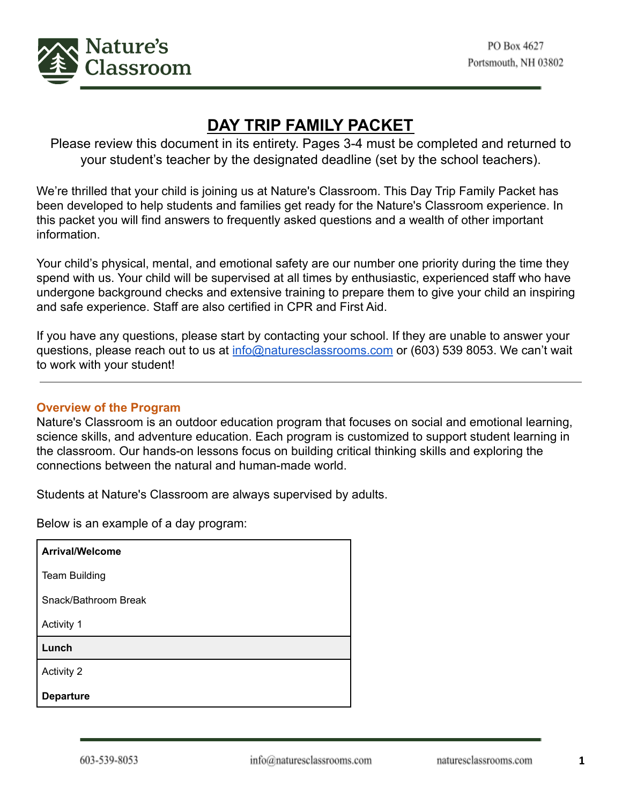

# **DAY TRIP FAMILY PACKET**

Please review this document in its entirety. Pages 3-4 must be completed and returned to your student's teacher by the designated deadline (set by the school teachers).

We're thrilled that your child is joining us at Nature's Classroom. This Day Trip Family Packet has been developed to help students and families get ready for the Nature's Classroom experience. In this packet you will find answers to frequently asked questions and a wealth of other important information.

Your child's physical, mental, and emotional safety are our number one priority during the time they spend with us. Your child will be supervised at all times by enthusiastic, experienced staff who have undergone background checks and extensive training to prepare them to give your child an inspiring and safe experience. Staff are also certified in CPR and First Aid.

If you have any questions, please start by contacting your school. If they are unable to answer your questions, please reach out to us at info@naturesclassrooms.com or (603) 539 8053. We can't wait to work with your student!

# **Overview of the Program**

Nature's Classroom is an outdoor education program that focuses on social and emotional learning, science skills, and adventure education. Each program is customized to support student learning in the classroom. Our hands-on lessons focus on building critical thinking skills and exploring the connections between the natural and human-made world.

Students at Nature's Classroom are always supervised by adults.

Below is an example of a day program:

| <b>Arrival/Welcome</b> |
|------------------------|
| <b>Team Building</b>   |
| Snack/Bathroom Break   |
| Activity 1             |
| Lunch                  |
| <b>Activity 2</b>      |
| <b>Departure</b>       |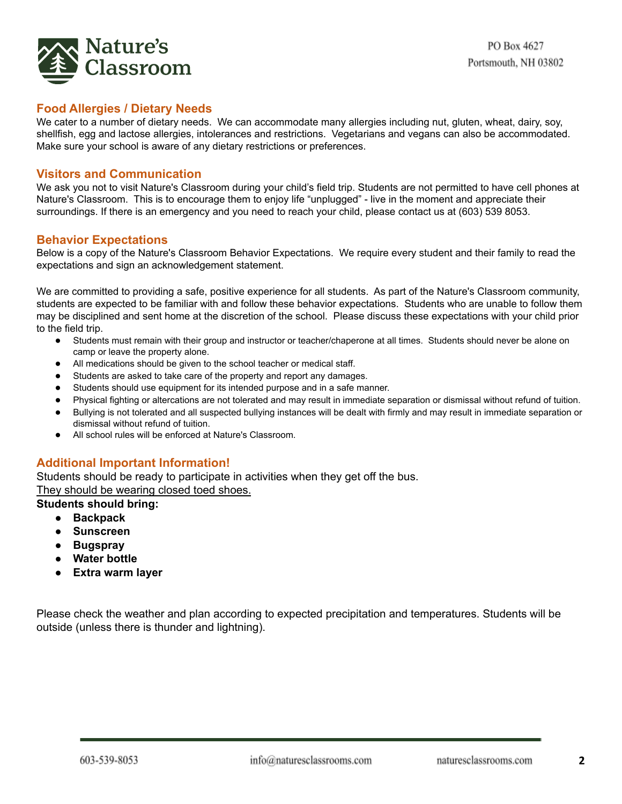

## **Food Allergies / Dietary Needs**

We cater to a number of dietary needs. We can accommodate many allergies including nut, gluten, wheat, dairy, soy, shellfish, egg and lactose allergies, intolerances and restrictions. Vegetarians and vegans can also be accommodated. Make sure your school is aware of any dietary restrictions or preferences.

## **Visitors and Communication**

We ask you not to visit Nature's Classroom during your child's field trip. Students are not permitted to have cell phones at Nature's Classroom. This is to encourage them to enjoy life "unplugged" - live in the moment and appreciate their surroundings. If there is an emergency and you need to reach your child, please contact us at (603) 539 8053.

#### **Behavior Expectations**

Below is a copy of the Nature's Classroom Behavior Expectations. We require every student and their family to read the expectations and sign an acknowledgement statement.

We are committed to providing a safe, positive experience for all students. As part of the Nature's Classroom community, students are expected to be familiar with and follow these behavior expectations. Students who are unable to follow them may be disciplined and sent home at the discretion of the school. Please discuss these expectations with your child prior to the field trip.

- Students must remain with their group and instructor or teacher/chaperone at all times. Students should never be alone on camp or leave the property alone.
- All medications should be given to the school teacher or medical staff.
- Students are asked to take care of the property and report any damages.
- Students should use equipment for its intended purpose and in a safe manner.
- Physical fighting or altercations are not tolerated and may result in immediate separation or dismissal without refund of tuition.
- Bullying is not tolerated and all suspected bullying instances will be dealt with firmly and may result in immediate separation or dismissal without refund of tuition.
- All school rules will be enforced at Nature's Classroom.

# **Additional Important Information!**

Students should be ready to participate in activities when they get off the bus. They should be wearing closed toed shoes.

#### **Students should bring:**

- **● Backpack**
- **● Sunscreen**
- **● Bugspray**
- **● Water bottle**
- **● Extra warm layer**

Please check the weather and plan according to expected precipitation and temperatures. Students will be outside (unless there is thunder and lightning).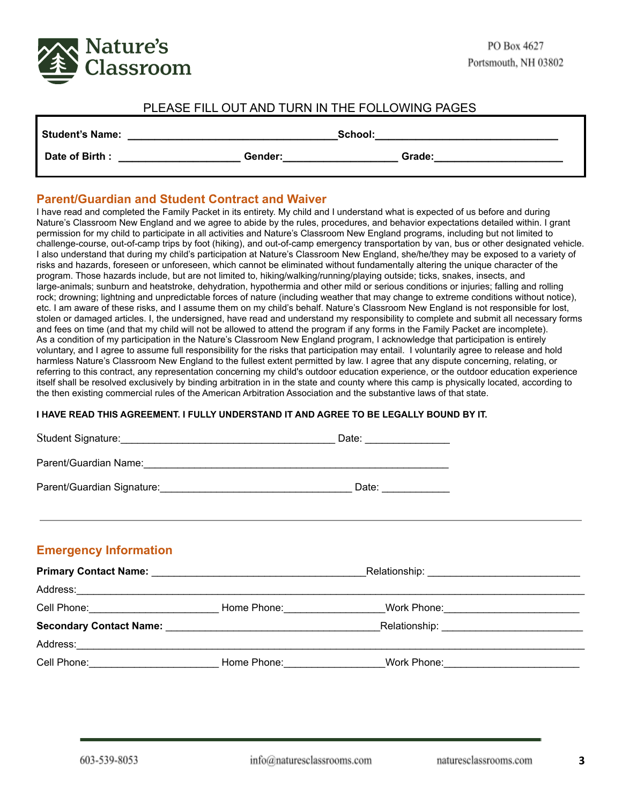

## PLEASE FILL OUT AND TURN IN THE FOLLOWING PAGES

| <b>Student's Name:</b> | School: |        |
|------------------------|---------|--------|
| Date of Birth:         | Gender: | Grade: |

#### **Parent/Guardian and Student Contract and Waiver**

I have read and completed the Family Packet in its entirety. My child and I understand what is expected of us before and during Nature's Classroom New England and we agree to abide by the rules, procedures, and behavior expectations detailed within. I grant permission for my child to participate in all activities and Nature's Classroom New England programs, including but not limited to challenge-course, out-of-camp trips by foot (hiking), and out-of-camp emergency transportation by van, bus or other designated vehicle. I also understand that during my child's participation at Nature's Classroom New England, she/he/they may be exposed to a variety of risks and hazards, foreseen or unforeseen, which cannot be eliminated without fundamentally altering the unique character of the program. Those hazards include, but are not limited to, hiking/walking/running/playing outside; ticks, snakes, insects, and large-animals; sunburn and heatstroke, dehydration, hypothermia and other mild or serious conditions or injuries; falling and rolling rock; drowning; lightning and unpredictable forces of nature (including weather that may change to extreme conditions without notice), etc. I am aware of these risks, and I assume them on my child's behalf. Nature's Classroom New England is not responsible for lost, stolen or damaged articles. I, the undersigned, have read and understand my responsibility to complete and submit all necessary forms and fees on time (and that my child will not be allowed to attend the program if any forms in the Family Packet are incomplete). As a condition of my participation in the Nature's Classroom New England program, I acknowledge that participation is entirely voluntary, and I agree to assume full responsibility for the risks that participation may entail. I voluntarily agree to release and hold harmless Nature's Classroom New England to the fullest extent permitted by law. I agree that any dispute concerning, relating, or referring to this contract, any representation concerning my child's outdoor education experience, or the outdoor education experience itself shall be resolved exclusively by binding arbitration in in the state and county where this camp is physically located, according to the then existing commercial rules of the American Arbitration Association and the substantive laws of that state.

#### **I HAVE READ THIS AGREEMENT. I FULLY UNDERSTAND IT AND AGREE TO BE LEGALLY BOUND BY IT.**

|                                                                                                                |                                                                                                                                                                                                                                | Date: ________________ |  |
|----------------------------------------------------------------------------------------------------------------|--------------------------------------------------------------------------------------------------------------------------------------------------------------------------------------------------------------------------------|------------------------|--|
|                                                                                                                |                                                                                                                                                                                                                                |                        |  |
|                                                                                                                |                                                                                                                                                                                                                                |                        |  |
| ,我们也不能会在这里,我们也不能会在这里,我们也不能会在这里,我们也不能会不能会不能会不能会不能会不能会不能会。""我们,我们也不能会不能会不能会不能会不能会不                               |                                                                                                                                                                                                                                |                        |  |
| <b>Emergency Information</b>                                                                                   |                                                                                                                                                                                                                                |                        |  |
|                                                                                                                |                                                                                                                                                                                                                                |                        |  |
|                                                                                                                |                                                                                                                                                                                                                                |                        |  |
| Cell Phone: _______________________________Home Phone: _________________Work Phone: __________________________ |                                                                                                                                                                                                                                |                        |  |
|                                                                                                                |                                                                                                                                                                                                                                |                        |  |
|                                                                                                                |                                                                                                                                                                                                                                |                        |  |
| Cell Phone:                                                                                                    | Home Phone: North States and States and States and States and States and States and States and States and States and States and States and States and States and States and States and States and States and States and States | Work Phone:            |  |